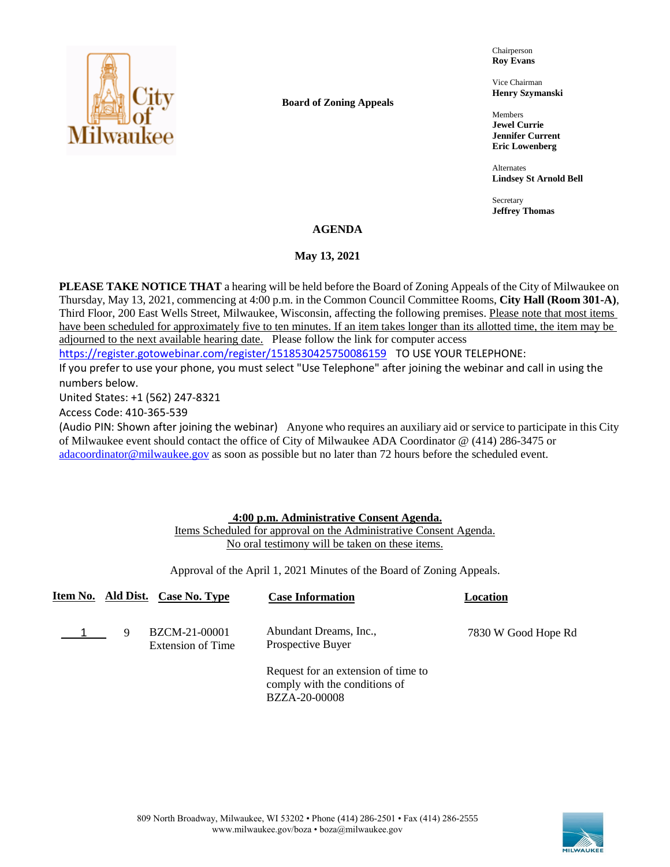

**Board of Zoning Appeals**

Chairperson **Roy Evans**

Vice Chairman **Henry Szymanski**

Members **Jewel Currie Jennifer Current Eric Lowenberg**

Alternates **Lindsey St Arnold Bell**

Secretary **Jeffrey Thomas**

# **AGENDA**

## **May 13, 2021**

**PLEASE TAKE NOTICE THAT** a hearing will be held before the Board of Zoning Appeals of the City of Milwaukee on Thursday, May 13, 2021, commencing at 4:00 p.m. in the Common Council Committee Rooms, **City Hall (Room 301-A)**, Third Floor, 200 East Wells Street, Milwaukee, Wisconsin, affecting the following premises. Please note that most items have been scheduled for approximately five to ten minutes. If an item takes longer than its allotted time, the item may be adjourned to the next available hearing date. Please follow the link for computer access

<https://register.gotowebinar.com/register/1518530425750086159> TO USE YOUR TELEPHONE:

If you prefer to use your phone, you must select "Use Telephone" after joining the webinar and call in using the numbers below.

United States: +1 (562) 247-8321

Access Code: 410-365-539

(Audio PIN: Shown after joining the webinar) Anyone who requires an auxiliary aid or service to participate in this City of Milwaukee event should contact the office of City of Milwaukee ADA Coordinator @ (414) 286-3475 or [adacoordinator@milwaukee.gov](mailto:adacoordinator@milwaukee.gov) as soon as possible but no later than 72 hours before the scheduled event.

### **4:00 p.m. Administrative Consent Agenda.**

Items Scheduled for approval on the Administrative Consent Agenda. No oral testimony will be taken on these items.

Approval of the April 1, 2021 Minutes of the Board of Zoning Appeals.

|   | Item No. Ald Dist. Case No. Type          | <b>Case Information</b>                                                               | Location            |
|---|-------------------------------------------|---------------------------------------------------------------------------------------|---------------------|
| 9 | <b>BZCM-21-00001</b><br>Extension of Time | Abundant Dreams, Inc.,<br>Prospective Buyer                                           | 7830 W Good Hope Rd |
|   |                                           | Request for an extension of time to<br>comply with the conditions of<br>BZZA-20-00008 |                     |

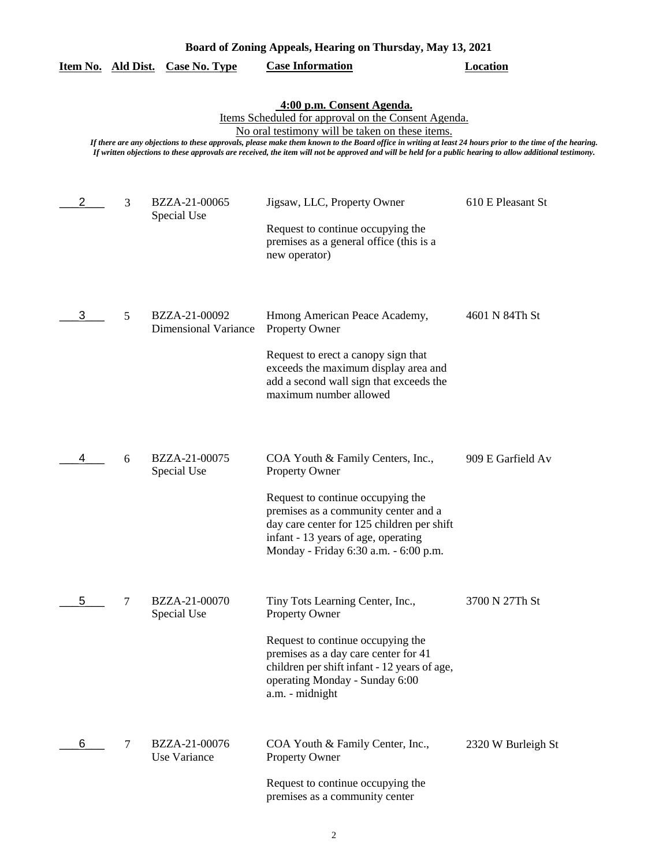| Board of Zoning Appeals, Hearing on Thursday, May 13, 2021 |  |  |
|------------------------------------------------------------|--|--|
|------------------------------------------------------------|--|--|

|  |  | Item No. Ald Dist. Case No. Type | <b>Case Information</b> | Location |
|--|--|----------------------------------|-------------------------|----------|
|--|--|----------------------------------|-------------------------|----------|

### **4:00 p.m. Consent Agenda.**

Items Scheduled for approval on the Consent Agenda.

No oral testimony will be taken on these items.

*If there are any objections to these approvals, please make them known to the Board office in writing at least 24 hours prior to the time of the hearing. If written objections to these approvals are received, the item will not be approved and will be held for a public hearing to allow additional testimony.*

| 2 | 3 | BZZA-21-00065                                | Jigsaw, LLC, Property Owner                                                                                                                                                                             | 610 E Pleasant St  |
|---|---|----------------------------------------------|---------------------------------------------------------------------------------------------------------------------------------------------------------------------------------------------------------|--------------------|
|   |   | Special Use                                  | Request to continue occupying the<br>premises as a general office (this is a<br>new operator)                                                                                                           |                    |
| 3 | 5 | BZZA-21-00092<br><b>Dimensional Variance</b> | Hmong American Peace Academy,<br>Property Owner<br>Request to erect a canopy sign that                                                                                                                  | 4601 N 84Th St     |
|   |   |                                              | exceeds the maximum display area and<br>add a second wall sign that exceeds the<br>maximum number allowed                                                                                               |                    |
| 4 | 6 | BZZA-21-00075<br>Special Use                 | COA Youth & Family Centers, Inc.,<br><b>Property Owner</b>                                                                                                                                              | 909 E Garfield Av  |
|   |   |                                              | Request to continue occupying the<br>premises as a community center and a<br>day care center for 125 children per shift<br>infant - 13 years of age, operating<br>Monday - Friday 6:30 a.m. - 6:00 p.m. |                    |
| 5 | 7 | BZZA-21-00070<br>Special Use                 | Tiny Tots Learning Center, Inc.,<br><b>Property Owner</b>                                                                                                                                               | 3700 N 27Th St     |
|   |   |                                              | Request to continue occupying the<br>premises as a day care center for 41<br>children per shift infant - 12 years of age,<br>operating Monday - Sunday 6:00<br>a.m. - midnight                          |                    |
| 6 | 7 | BZZA-21-00076<br>Use Variance                | COA Youth & Family Center, Inc.,<br><b>Property Owner</b>                                                                                                                                               | 2320 W Burleigh St |
|   |   |                                              | Request to continue occupying the<br>premises as a community center                                                                                                                                     |                    |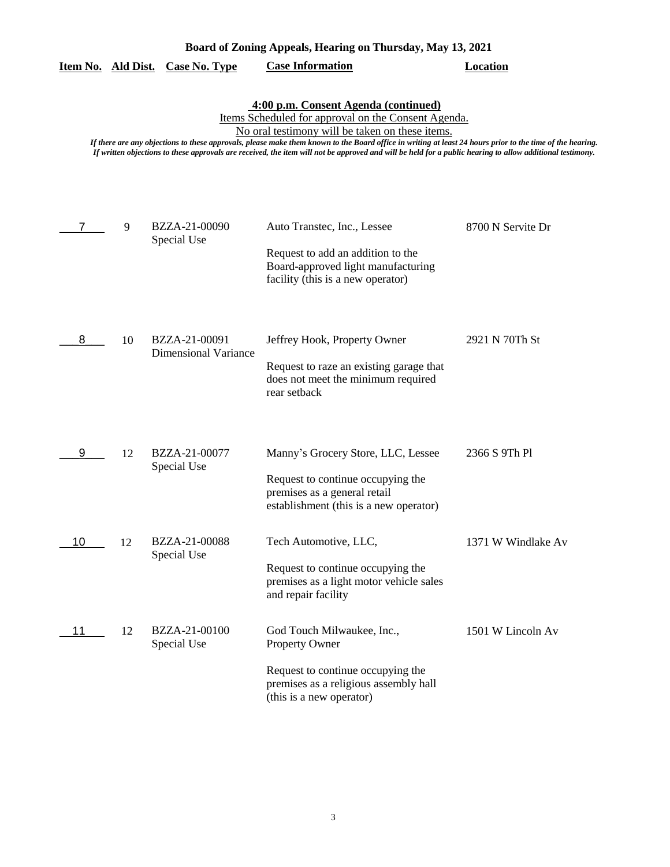| Board of Zoning Appeals, Hearing on Thursday, May 13, 2021 |                                                                                                                                                                                                                                                                                                                                                                                                                                                                          |                                              |                                                                                                                                                               |                    |  |  |
|------------------------------------------------------------|--------------------------------------------------------------------------------------------------------------------------------------------------------------------------------------------------------------------------------------------------------------------------------------------------------------------------------------------------------------------------------------------------------------------------------------------------------------------------|----------------------------------------------|---------------------------------------------------------------------------------------------------------------------------------------------------------------|--------------------|--|--|
| Item No.                                                   | <u>Ald Dist.</u>                                                                                                                                                                                                                                                                                                                                                                                                                                                         | <b>Case No. Type</b>                         | <b>Case Information</b>                                                                                                                                       | <b>Location</b>    |  |  |
|                                                            | 4:00 p.m. Consent Agenda (continued)<br>Items Scheduled for approval on the Consent Agenda.<br>No oral testimony will be taken on these items.<br>If there are any objections to these approvals, please make them known to the Board office in writing at least 24 hours prior to the time of the hearing.<br>If written objections to these approvals are received, the item will not be approved and will be held for a public hearing to allow additional testimony. |                                              |                                                                                                                                                               |                    |  |  |
| 7                                                          | 9                                                                                                                                                                                                                                                                                                                                                                                                                                                                        | BZZA-21-00090<br>Special Use                 | Auto Transtec, Inc., Lessee<br>Request to add an addition to the<br>Board-approved light manufacturing<br>facility (this is a new operator)                   | 8700 N Servite Dr  |  |  |
| 8                                                          | 10                                                                                                                                                                                                                                                                                                                                                                                                                                                                       | BZZA-21-00091<br><b>Dimensional Variance</b> | Jeffrey Hook, Property Owner<br>Request to raze an existing garage that<br>does not meet the minimum required<br>rear setback                                 | 2921 N 70Th St     |  |  |
| 9                                                          | 12                                                                                                                                                                                                                                                                                                                                                                                                                                                                       | BZZA-21-00077<br>Special Use                 | Manny's Grocery Store, LLC, Lessee<br>Request to continue occupying the<br>premises as a general retail<br>establishment (this is a new operator)             | 2366 S 9Th Pl      |  |  |
| 10                                                         | 12                                                                                                                                                                                                                                                                                                                                                                                                                                                                       | BZZA-21-00088<br>Special Use                 | Tech Automotive, LLC,<br>Request to continue occupying the<br>premises as a light motor vehicle sales<br>and repair facility                                  | 1371 W Windlake Av |  |  |
| 11                                                         | 12                                                                                                                                                                                                                                                                                                                                                                                                                                                                       | BZZA-21-00100<br>Special Use                 | God Touch Milwaukee, Inc.,<br><b>Property Owner</b><br>Request to continue occupying the<br>premises as a religious assembly hall<br>(this is a new operator) | 1501 W Lincoln Av  |  |  |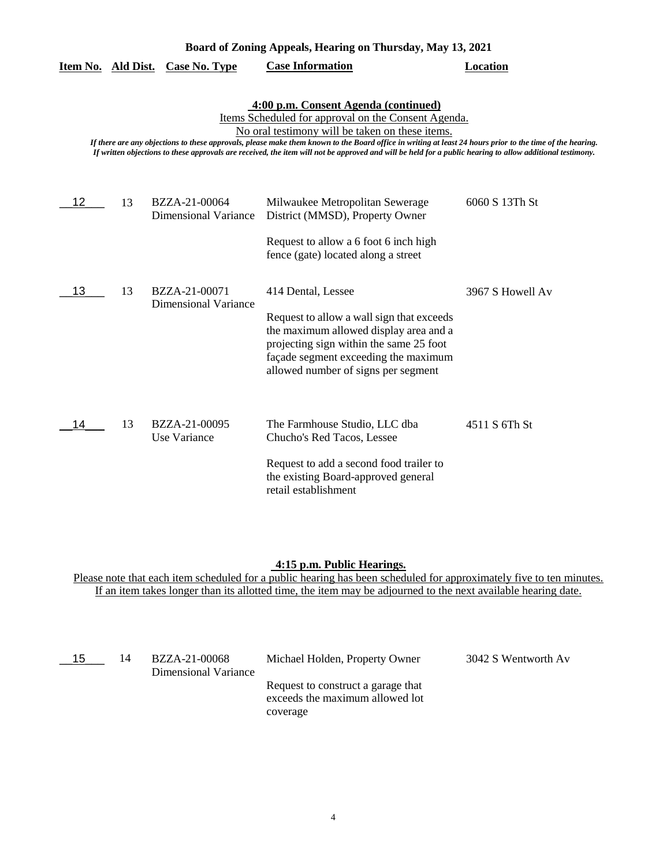| Board of Zoning Appeals, Hearing on Thursday, May 13, 2021 |    |                                              |                                                                                                                                                                                                                                                                                                                                                                                                                                                                          |                  |
|------------------------------------------------------------|----|----------------------------------------------|--------------------------------------------------------------------------------------------------------------------------------------------------------------------------------------------------------------------------------------------------------------------------------------------------------------------------------------------------------------------------------------------------------------------------------------------------------------------------|------------------|
| Item No. Ald Dist.                                         |    | <b>Case No. Type</b>                         | <b>Case Information</b>                                                                                                                                                                                                                                                                                                                                                                                                                                                  | <b>Location</b>  |
|                                                            |    |                                              | 4:00 p.m. Consent Agenda (continued)<br>Items Scheduled for approval on the Consent Agenda.<br>No oral testimony will be taken on these items.<br>If there are any objections to these approvals, please make them known to the Board office in writing at least 24 hours prior to the time of the hearing.<br>If written objections to these approvals are received, the item will not be approved and will be held for a public hearing to allow additional testimony. |                  |
| 12                                                         | 13 | BZZA-21-00064<br><b>Dimensional Variance</b> | Milwaukee Metropolitan Sewerage<br>District (MMSD), Property Owner<br>Request to allow a 6 foot 6 inch high<br>fence (gate) located along a street                                                                                                                                                                                                                                                                                                                       | 6060 S 13Th St   |
| 13                                                         | 13 | BZZA-21-00071<br><b>Dimensional Variance</b> | 414 Dental, Lessee<br>Request to allow a wall sign that exceeds<br>the maximum allowed display area and a<br>projecting sign within the same 25 foot<br>façade segment exceeding the maximum<br>allowed number of signs per segment                                                                                                                                                                                                                                      | 3967 S Howell Av |
| 14                                                         | 13 | BZZA-21-00095<br>Use Variance                | The Farmhouse Studio, LLC dba<br>Chucho's Red Tacos, Lessee<br>Request to add a second food trailer to<br>the existing Board-approved general<br>retail establishment                                                                                                                                                                                                                                                                                                    | 4511 S 6Th St    |

# **4:15 p.m. Public Hearings.**

| 15 | 14 | BZZA-21-00068<br>Dimensional Variance | Michael Holden, Property Owner                                                    | 3042 S Wentworth Av |
|----|----|---------------------------------------|-----------------------------------------------------------------------------------|---------------------|
|    |    |                                       | Request to construct a garage that<br>exceeds the maximum allowed lot<br>coverage |                     |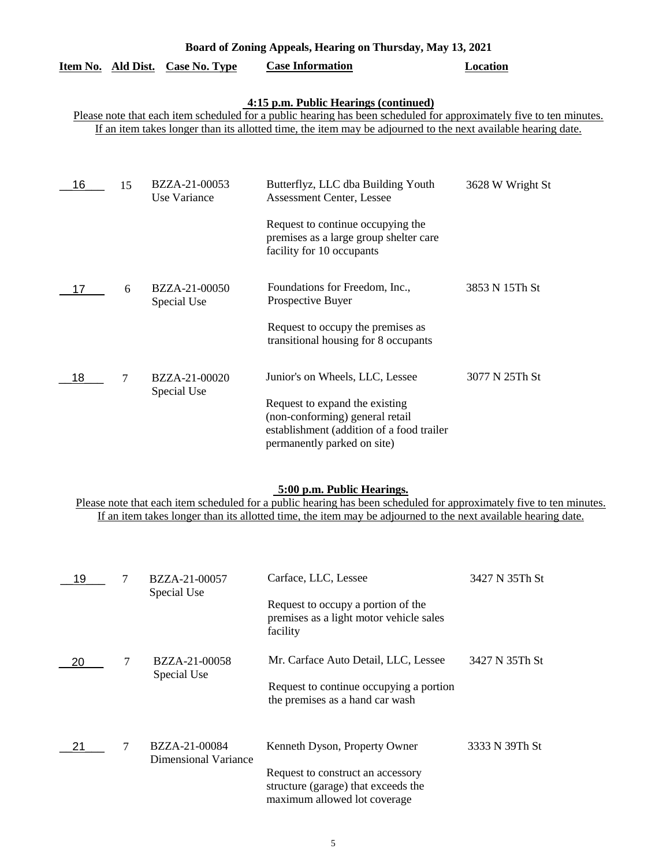| Item No. | Ald Dist. | <b>Case No. Type</b>          | <b>Case Information</b>                                                                                                                                                                                                                                                       | <b>Location</b>  |
|----------|-----------|-------------------------------|-------------------------------------------------------------------------------------------------------------------------------------------------------------------------------------------------------------------------------------------------------------------------------|------------------|
|          |           |                               | 4:15 p.m. Public Hearings (continued)<br>Please note that each item scheduled for a public hearing has been scheduled for approximately five to ten minutes.<br>If an item takes longer than its allotted time, the item may be adjourned to the next available hearing date. |                  |
| 16       | 15        | BZZA-21-00053<br>Use Variance | Butterflyz, LLC dba Building Youth<br><b>Assessment Center, Lessee</b><br>Request to continue occupying the<br>premises as a large group shelter care<br>facility for 10 occupants                                                                                            | 3628 W Wright St |
| 17       | 6         | BZZA-21-00050<br>Special Use  | Foundations for Freedom, Inc.,<br>Prospective Buyer<br>Request to occupy the premises as<br>transitional housing for 8 occupants                                                                                                                                              | 3853 N 15Th St   |
| 18       | 7         | BZZA-21-00020<br>Special Use  | Junior's on Wheels, LLC, Lessee<br>Request to expand the existing<br>(non-conforming) general retail<br>establishment (addition of a food trailer<br>permanently parked on site)                                                                                              | 3077 N 25Th St   |

**Board of Zoning Appeals, Hearing on Thursday, May 13, 2021** 

### **5:00 p.m. Public Hearings.**

| 19 |   | BZZA-21-00057<br>Special Use          | Carface, LLC, Lessee<br>Request to occupy a portion of the                                               | 3427 N 35Th St |
|----|---|---------------------------------------|----------------------------------------------------------------------------------------------------------|----------------|
|    |   |                                       | premises as a light motor vehicle sales<br>facility                                                      |                |
| 20 |   | BZZA-21-00058<br>Special Use          | Mr. Carface Auto Detail, LLC, Lessee                                                                     | 3427 N 35Th St |
|    |   |                                       | Request to continue occupying a portion<br>the premises as a hand car wash                               |                |
| 21 | 7 | BZZA-21-00084<br>Dimensional Variance | Kenneth Dyson, Property Owner                                                                            | 3333 N 39Th St |
|    |   |                                       | Request to construct an accessory<br>structure (garage) that exceeds the<br>maximum allowed lot coverage |                |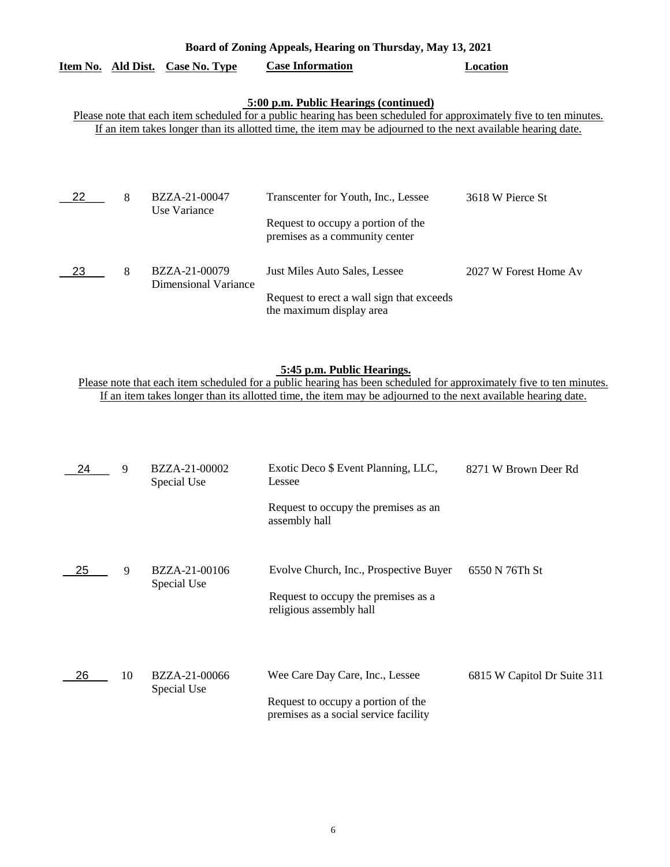| Board of Zoning Appeals, Hearing on Thursday, May 13, 2021 |   |                                  |                                                                                                                     |                       |
|------------------------------------------------------------|---|----------------------------------|---------------------------------------------------------------------------------------------------------------------|-----------------------|
|                                                            |   | Item No. Ald Dist. Case No. Type | <b>Case Information</b>                                                                                             | Location              |
|                                                            |   |                                  |                                                                                                                     |                       |
|                                                            |   |                                  | 5:00 p.m. Public Hearings (continued)                                                                               |                       |
|                                                            |   |                                  | Please note that each item scheduled for a public hearing has been scheduled for approximately five to ten minutes. |                       |
|                                                            |   |                                  | If an item takes longer than its allotted time, the item may be adjourned to the next available hearing date.       |                       |
|                                                            |   |                                  |                                                                                                                     |                       |
|                                                            |   |                                  |                                                                                                                     |                       |
|                                                            |   |                                  |                                                                                                                     |                       |
|                                                            |   |                                  |                                                                                                                     |                       |
| 22                                                         | 8 | BZZA-21-00047                    | Transcenter for Youth, Inc., Lessee                                                                                 | 3618 W Pierce St      |
|                                                            |   | Use Variance                     |                                                                                                                     |                       |
|                                                            |   |                                  | Request to occupy a portion of the                                                                                  |                       |
|                                                            |   |                                  | premises as a community center                                                                                      |                       |
|                                                            |   |                                  |                                                                                                                     |                       |
| 23                                                         | 8 | BZZA-21-00079                    | Just Miles Auto Sales, Lessee                                                                                       | 2027 W Forest Home Av |
|                                                            |   | Dimensional Variance             |                                                                                                                     |                       |
|                                                            |   |                                  | Request to erect a wall sign that exceeds                                                                           |                       |
|                                                            |   |                                  |                                                                                                                     |                       |

the maximum display area

### **5:45 p.m. Public Hearings.**

| 24 | 9  | BZZA-21-00002<br>Special Use | Exotic Deco \$ Event Planning, LLC,<br>Lessee                               | 8271 W Brown Deer Rd        |
|----|----|------------------------------|-----------------------------------------------------------------------------|-----------------------------|
|    |    |                              | Request to occupy the premises as an<br>assembly hall                       |                             |
| 25 | 9  | BZZA-21-00106<br>Special Use | Evolve Church, Inc., Prospective Buyer                                      | 6550 N 76Th St              |
|    |    |                              | Request to occupy the premises as a<br>religious assembly hall              |                             |
| 26 | 10 | BZZA-21-00066                | Wee Care Day Care, Inc., Lessee                                             | 6815 W Capitol Dr Suite 311 |
|    |    | Special Use                  | Request to occupy a portion of the<br>premises as a social service facility |                             |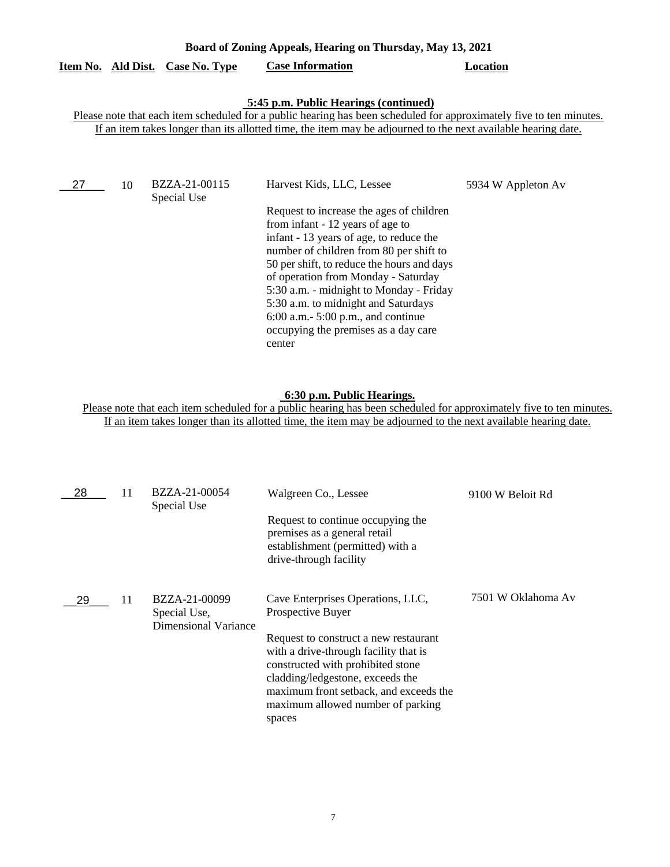| Board of Zoning Appeals, Hearing on Thursday, May 13, 2021 |  |                                  |                         |          |
|------------------------------------------------------------|--|----------------------------------|-------------------------|----------|
|                                                            |  | Item No. Ald Dist. Case No. Type | <b>Case Information</b> | Location |

#### **5:45 p.m. Public Hearings (continued)**

Please note that each item scheduled for a public hearing has been scheduled for approximately five to ten minutes. If an item takes longer than its allotted time, the item may be adjourned to the next available hearing date.

| 27 | 10 | BZZA-21-00115<br>Special Use | Harvest Kids, LLC, Lessee                                                                                                                                                                                                                                                                                                                                                                                                            | 5934 W Appleton Av |
|----|----|------------------------------|--------------------------------------------------------------------------------------------------------------------------------------------------------------------------------------------------------------------------------------------------------------------------------------------------------------------------------------------------------------------------------------------------------------------------------------|--------------------|
|    |    |                              | Request to increase the ages of children<br>from infant - 12 years of age to<br>infant - 13 years of age, to reduce the<br>number of children from 80 per shift to<br>50 per shift, to reduce the hours and days<br>of operation from Monday - Saturday<br>5:30 a.m. - midnight to Monday - Friday<br>5:30 a.m. to midnight and Saturdays<br>$6:00$ a.m. $5:00$ p.m., and continue<br>occupying the premises as a day care<br>center |                    |

## **6:30 p.m. Public Hearings.**

| BZZA-21-00054                                         | Walgreen Co., Lessee                                                                                                                                                                                                                                                                             | 9100 W Beloit Rd   |
|-------------------------------------------------------|--------------------------------------------------------------------------------------------------------------------------------------------------------------------------------------------------------------------------------------------------------------------------------------------------|--------------------|
|                                                       | Request to continue occupying the<br>premises as a general retail<br>establishment (permitted) with a<br>drive-through facility                                                                                                                                                                  |                    |
| BZZA-21-00099<br>Special Use,<br>Dimensional Variance | Cave Enterprises Operations, LLC,<br>Prospective Buyer<br>Request to construct a new restaurant<br>with a drive-through facility that is<br>constructed with prohibited stone<br>cladding/ledgestone, exceeds the<br>maximum front setback, and exceeds the<br>maximum allowed number of parking | 7501 W Oklahoma Av |
|                                                       | Special Use                                                                                                                                                                                                                                                                                      | spaces             |